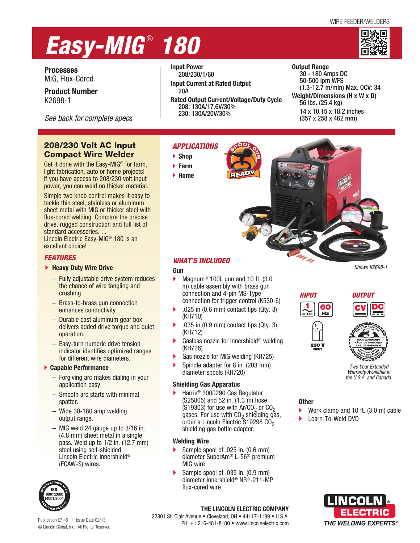#### WIRE FEEDER/WELDERS

# *Easy-MIG* ®  *180*



**Processes**  MIG, Flux-Cored

**Product Number**  K2698-1

*See back for complete spec*s

# 208/230 Volt AC Input Compact Wire Welder

Get it done with the Easy-MIG® for farm, light fabrication, auto or home projects! If you have access to 208/230 volt input power, you can weld on thicker material.

Simple two knob control makes it easy to tackle thin steel, stainless or aluminum sheet metal with MIG or thicker steel with flux-cored welding. Compare the precise drive, rugged construction and full list of standard accessories. . . Lincoln Electric Easy-MIG® 180 is an

excellent choice!

# *FEATURES*

#### **Heavy Duty Wire Drive**

- Fully adjustable drive system reduces the chance of wire tangling and crushing.
- Brass-to-brass gun connection enhances conductivity.
- Durable cast aluminum gear box delivers added drive torque and quiet operation.
- Easy-turn numeric drive tension indicator identifies optimized ranges for different wire diameters.

### **Capable Performance**

- Forgiving arc makes dialing in your application easy.
- Smooth arc starts with minimal spatter.
- Wide 30-180 amp welding output range.
- MIG weld 24 gauge up to 3/16 in. (4.8 mm) sheet metal in a single pass. Weld up to 1/2 in. (12.7 mm) steel using self-shielded Lincoln Electric Innershield® (FCAW-S) wires.



Publication E7.45 | Issue Date 02/13 © Lincoln Global, Inc. All Rights Reserved. **Input Power** 208/230/1/60

- **Input Current at Rated Output** 20A
- **Rated Output Current/Voltage/Duty Cycle**  208: 130A/17.6V/30% 230: 130A/20V/30%

**Output Range**  30 - 180 Amps DC 50-500 ipm WFS (1.3-12.7 m/min) Max. OCV: 34 **Weight/Dimensions (H x W x D)**  56 lbs. (25.4 kg) 14 x 10.15 x 18.2 inches (357 x 258 x 462 mm) http:// gettag.mobi

# *APPLICATIONS*

- **Shop**
- **Farm**
- **Home**



# *WHAT'S INCLUDED*

## **Gun**

- Magnum<sup>®</sup> 100L gun and 10 ft. (3.0 m) cable assembly with brass gun connection and 4-pin MS-Type connection for trigger control (K530-6)
- .025 in (0.6 mm) contact tips (Qty. 3) (KH710)
- $\triangleright$  .035 in (0.9 mm) contact tips (Qty. 3) (KH712)
- Gasless nozzle for Innershield® welding (KH726)
- Gas nozzle for MIG welding (KH725)
- Spindle adapter for 8 in. (203 mm) diameter spools (KH720)

# **Shielding Gas Apparatus**

 Harris® 3000290 Gas Regulator (S25805) and 52 in. (1.3 m) hose (S19303) for use with  $Ar/CO<sub>2</sub>$  or  $CO<sub>2</sub>$ gases. For use with  $CO<sub>2</sub>$  shielding gas, order a Lincoln Electric S19298 CO<sub>2</sub> shielding gas bottle adapter.

# **Welding Wire**

- Sample spool of .025 in. (0.6 mm) diameter SuperArc® L-56® premium MIG wire
- Sample spool of .035 in. (0.9 mm) diameter Innershield® NR®-211-MP flux-cored wire

*INPUT OUTPUT* 60

 $Hz$ 

 $230V$ 





*Two Year Extended Warranty Available in the U.S.A. and Canada.*

# **Other**

- Work clamp and 10 ft. (3.0 m) cable
- Learn-To-Weld DVD



**THE LINCOLN ELECTRIC COMPANY** 22801 St. Clair Avenue • Cleveland, OH • 44117-1199 • U.S.A. PH: +1.216-481-8100 • www.lincolnelectric.com